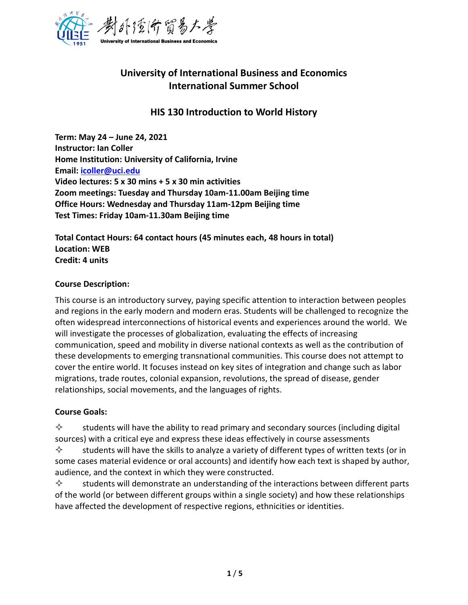

# **University of International Business and Economics International Summer School**

# **HIS 130 Introduction to World History**

**Term: May 24 – June 24, 2021 Instructor: Ian Coller Home Institution: University of California, Irvine Email: [icoller@uci.edu](mailto:icoller@uci.edu) Video lectures: 5 x 30 mins + 5 x 30 min activities Zoom meetings: Tuesday and Thursday 10am-11.00am Beijing time Office Hours: Wednesday and Thursday 11am-12pm Beijing time Test Times: Friday 10am-11.30am Beijing time**

**Total Contact Hours: 64 contact hours (45 minutes each, 48 hours in total) Location: WEB Credit: 4 units**

### **Course Description:**

This course is an introductory survey, paying specific attention to interaction between peoples and regions in the early modern and modern eras. Students will be challenged to recognize the often widespread interconnections of historical events and experiences around the world. We will investigate the processes of globalization, evaluating the effects of increasing communication, speed and mobility in diverse national contexts as well as the contribution of these developments to emerging transnational communities. This course does not attempt to cover the entire world. It focuses instead on key sites of integration and change such as labor migrations, trade routes, colonial expansion, revolutions, the spread of disease, gender relationships, social movements, and the languages of rights.

### **Course Goals:**

 $\diamond$  students will have the ability to read primary and secondary sources (including digital sources) with a critical eye and express these ideas effectively in course assessments

 $\diamond$  students will have the skills to analyze a variety of different types of written texts (or in some cases material evidence or oral accounts) and identify how each text is shaped by author, audience, and the context in which they were constructed.

 $\diamond$  students will demonstrate an understanding of the interactions between different parts of the world (or between different groups within a single society) and how these relationships have affected the development of respective regions, ethnicities or identities.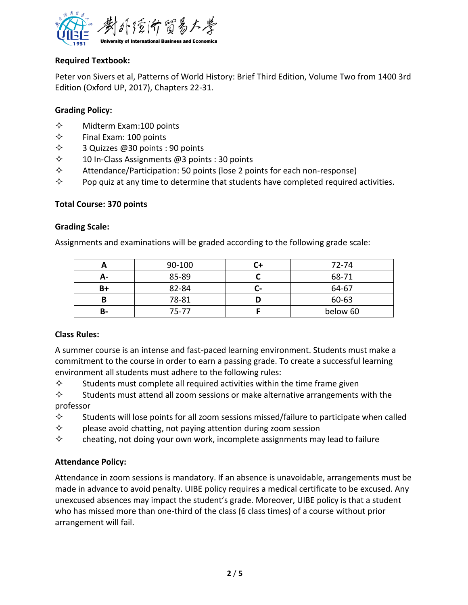

## **Required Textbook:**

Peter von Sivers et al, Patterns of World History: Brief Third Edition, Volume Two from 1400 3rd Edition (Oxford UP, 2017), Chapters 22-31.

### **Grading Policy:**

- $\diamond$  Midterm Exam: 100 points
- $\Leftrightarrow$  Final Exam: 100 points
- $\diamondsuit$  3 Quizzes @30 points : 90 points
- $\diamondsuit$  10 In-Class Assignments @3 points : 30 points
- $\diamond$  Attendance/Participation: 50 points (lose 2 points for each non-response)
- $\diamond$  Pop quiz at any time to determine that students have completed required activities.

### **Total Course: 370 points**

### **Grading Scale:**

Assignments and examinations will be graded according to the following grade scale:

|    | 90-100 |    | 72-74    |
|----|--------|----|----------|
| А- | 85-89  |    | 68-71    |
| B+ | 82-84  | г. | 64-67    |
|    | 78-81  |    | 60-63    |
| в- | 75-77  |    | below 60 |

# **Class Rules:**

A summer course is an intense and fast-paced learning environment. Students must make a commitment to the course in order to earn a passing grade. To create a successful learning environment all students must adhere to the following rules:

 $\diamond$  Students must complete all required activities within the time frame given

 $\diamond$  Students must attend all zoom sessions or make alternative arrangements with the professor

- $\diamond$  Students will lose points for all zoom sessions missed/failure to participate when called
- $\diamond$  please avoid chatting, not paying attention during zoom session
- $\diamond$  cheating, not doing your own work, incomplete assignments may lead to failure

# **Attendance Policy:**

Attendance in zoom sessions is mandatory. If an absence is unavoidable, arrangements must be made in advance to avoid penalty. UIBE policy requires a medical certificate to be excused. Any unexcused absences may impact the student's grade. Moreover, UIBE policy is that a student who has missed more than one-third of the class (6 class times) of a course without prior arrangement will fail.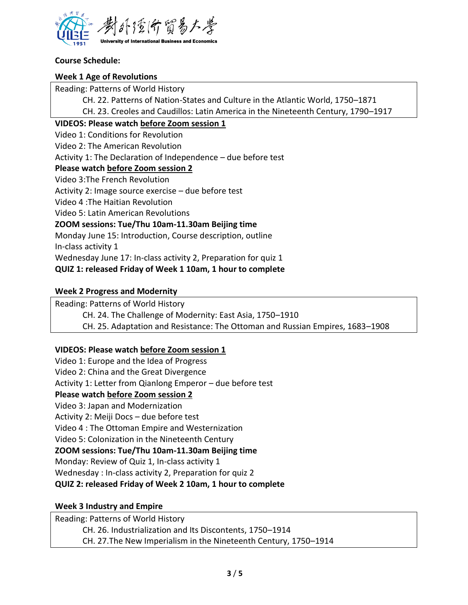

### **Course Schedule:**

### **Week 1 Age of Revolutions**

Reading: Patterns of World History

CH. 22. Patterns of Nation-States and Culture in the Atlantic World, 1750–1871

CH. 23. Creoles and Caudillos: Latin America in the Nineteenth Century, 1790–1917

### **VIDEOS: Please watch before Zoom session 1**

Video 1: Conditions for Revolution

Video 2: The American Revolution

Activity 1: The Declaration of Independence – due before test

### **Please watch before Zoom session 2**

Video 3:The French Revolution

Activity 2: Image source exercise – due before test

Video 4 :The Haitian Revolution

Video 5: Latin American Revolutions

# **ZOOM sessions: Tue/Thu 10am-11.30am Beijing time**

Monday June 15: Introduction, Course description, outline

In-class activity 1

Wednesday June 17: In-class activity 2, Preparation for quiz 1

# **QUIZ 1: released Friday of Week 1 10am, 1 hour to complete**

# **Week 2 Progress and Modernity**

Reading: Patterns of World History

CH. 24. The Challenge of Modernity: East Asia, 1750–1910

CH. 25. Adaptation and Resistance: The Ottoman and Russian Empires, 1683–1908

# **VIDEOS: Please watch before Zoom session 1**

Video 1: Europe and the Idea of Progress Video 2: China and the Great Divergence Activity 1: Letter from Qianlong Emperor – due before test **Please watch before Zoom session 2** Video 3: Japan and Modernization Activity 2: Meiji Docs – due before test Video 4 : The Ottoman Empire and Westernization Video 5: Colonization in the Nineteenth Century **ZOOM sessions: Tue/Thu 10am-11.30am Beijing time** Monday: Review of Quiz 1, In-class activity 1 Wednesday : In-class activity 2, Preparation for quiz 2 **QUIZ 2: released Friday of Week 2 10am, 1 hour to complete**

### **Week 3 Industry and Empire**

Reading: Patterns of World History CH. 26. Industrialization and Its Discontents, 1750–1914 CH. 27.The New Imperialism in the Nineteenth Century, 1750–1914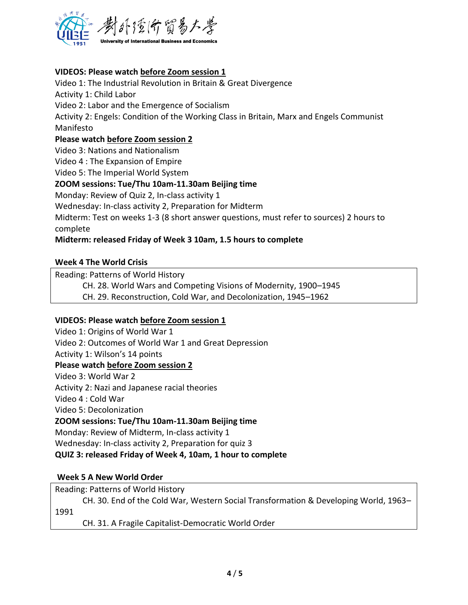

## **VIDEOS: Please watch before Zoom session 1**

Video 1: The Industrial Revolution in Britain & Great Divergence Activity 1: Child Labor Video 2: Labor and the Emergence of Socialism Activity 2: Engels: Condition of the Working Class in Britain, Marx and Engels Communist Manifesto **Please watch before Zoom session 2** Video 3: Nations and Nationalism Video 4 : The Expansion of Empire Video 5: The Imperial World System **ZOOM sessions: Tue/Thu 10am-11.30am Beijing time** Monday: Review of Quiz 2, In-class activity 1 Wednesday: In-class activity 2, Preparation for Midterm Midterm: Test on weeks 1-3 (8 short answer questions, must refer to sources) 2 hours to

complete

### **Midterm: released Friday of Week 3 10am, 1.5 hours to complete**

#### **Week 4 The World Crisis**

Reading: Patterns of World History

CH. 28. World Wars and Competing Visions of Modernity, 1900–1945

CH. 29. Reconstruction, Cold War, and Decolonization, 1945–1962

#### **VIDEOS: Please watch before Zoom session 1**

Video 1: Origins of World War 1 Video 2: Outcomes of World War 1 and Great Depression Activity 1: Wilson's 14 points **Please watch before Zoom session 2** Video 3: World War 2 Activity 2: Nazi and Japanese racial theories Video 4 : Cold War Video 5: Decolonization **ZOOM sessions: Tue/Thu 10am-11.30am Beijing time** Monday: Review of Midterm, In-class activity 1 Wednesday: In-class activity 2, Preparation for quiz 3 **QUIZ 3: released Friday of Week 4, 10am, 1 hour to complete**

### **Week 5 A New World Order**

Reading: Patterns of World History

CH. 30. End of the Cold War, Western Social Transformation & Developing World, 1963– 1991

CH. 31. A Fragile Capitalist-Democratic World Order